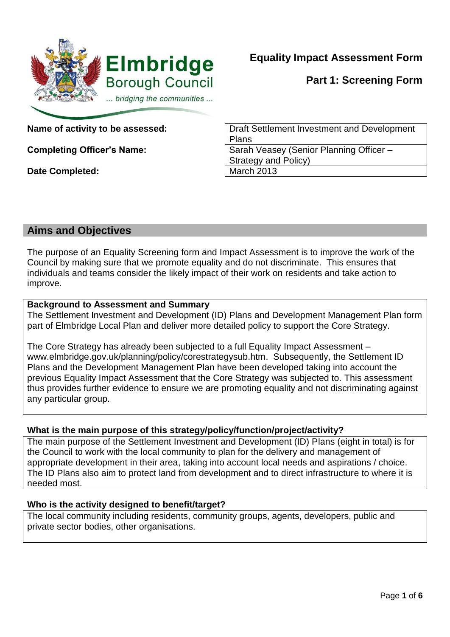

**Equality Impact Assessment Form**

**Part 1: Screening Form**

**Date Completed:** March 2013

**Name of activity to be assessed:**  $\vert$  Draft Settlement Investment and Development Plans **Completing Officer's Name:** Sarah Veasey (Senior Planning Officer – Strategy and Policy)

## **Aims and Objectives**

The purpose of an Equality Screening form and Impact Assessment is to improve the work of the Council by making sure that we promote equality and do not discriminate. This ensures that individuals and teams consider the likely impact of their work on residents and take action to improve.

## **Background to Assessment and Summary**

The Settlement Investment and Development (ID) Plans and Development Management Plan form part of Elmbridge Local Plan and deliver more detailed policy to support the Core Strategy.

The Core Strategy has already been subjected to a full Equality Impact Assessment – www.elmbridge.gov.uk/planning/policy/corestrategysub.htm. Subsequently, the Settlement ID Plans and the Development Management Plan have been developed taking into account the previous Equality Impact Assessment that the Core Strategy was subjected to. This assessment thus provides further evidence to ensure we are promoting equality and not discriminating against any particular group.

## **What is the main purpose of this strategy/policy/function/project/activity?**

The main purpose of the Settlement Investment and Development (ID) Plans (eight in total) is for the Council to work with the local community to plan for the delivery and management of appropriate development in their area, taking into account local needs and aspirations / choice. The ID Plans also aim to protect land from development and to direct infrastructure to where it is needed most.

## **Who is the activity designed to benefit/target?**

The local community including residents, community groups, agents, developers, public and private sector bodies, other organisations.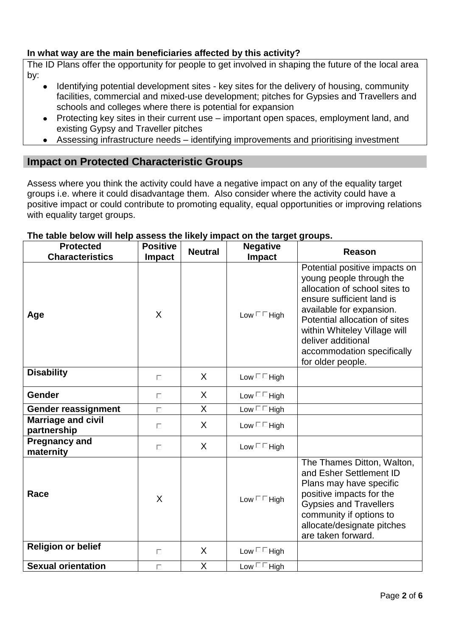### **In what way are the main beneficiaries affected by this activity?**

The ID Plans offer the opportunity for people to get involved in shaping the future of the local area by:

- Identifying potential development sites key sites for the delivery of housing, community facilities, commercial and mixed-use development; pitches for Gypsies and Travellers and schools and colleges where there is potential for expansion
- Protecting key sites in their current use important open spaces, employment land, and existing Gypsy and Traveller pitches
- Assessing infrastructure needs identifying improvements and prioritising investment

## **Impact on Protected Characteristic Groups**

Assess where you think the activity could have a negative impact on any of the equality target groups i.e. where it could disadvantage them. Also consider where the activity could have a positive impact or could contribute to promoting equality, equal opportunities or improving relations with equality target groups.

#### **Protected Characteristics Positive Impact Neutral Negative Impact Reason Age** X Low High Potential positive impacts on young people through the allocation of school sites to ensure sufficient land is available for expansion. Potential allocation of sites within Whiteley Village will deliver additional accommodation specifically for older people. **Disability**  $\begin{array}{ccc} & | & | & | \ \hline \end{array}$   $\begin{array}{ccc} \times & | & | & \text{Low} \ \hline \end{array}$ **Gender**  $\qquad \qquad \qquad$   $\qquad \qquad$   $\qquad \qquad$   $\qquad \qquad$   $\qquad \qquad$   $\qquad \qquad$   $\qquad \qquad$   $\qquad \qquad$   $\qquad \qquad$   $\qquad \qquad$   $\qquad$   $\qquad$   $\qquad$   $\qquad$   $\qquad$   $\qquad$   $\qquad$   $\qquad$   $\qquad$   $\qquad$   $\qquad$   $\qquad$   $\qquad$   $\qquad$   $\qquad$   $\qquad$   $\qquad$   $\qquad$   $\qquad$   $\qquad$  **Gender reassignment**  $\Box$   $\Box$   $\Box$  X  $\Box$  Low  $\Box$  High **Marriage and civil partnership** <sup>X</sup> Low High **Pregnancy and i** regiliancy and  $\begin{vmatrix} 1 & \cdots & \cdots & \cdots \\ 1 & \cdots & \cdots & \cdots \\ 1 & \cdots & \cdots & \cdots \end{vmatrix}$  Low  $\Box$  High Race  $X = \begin{vmatrix} X & 1 \end{vmatrix}$  Low  $\Box$  High The Thames Ditton, Walton, and Esher Settlement ID Plans may have specific positive impacts for the Gypsies and Travellers community if options to allocate/designate pitches are taken forward. **Religion or belief**  $\qquad \qquad \begin{array}{ccc} & & \end{array}$ **Sexual orientation**  $\Box$   $\Box$   $\Box$  X  $\Box$  Low  $\Box$  High

#### **The table below will help assess the likely impact on the target groups.**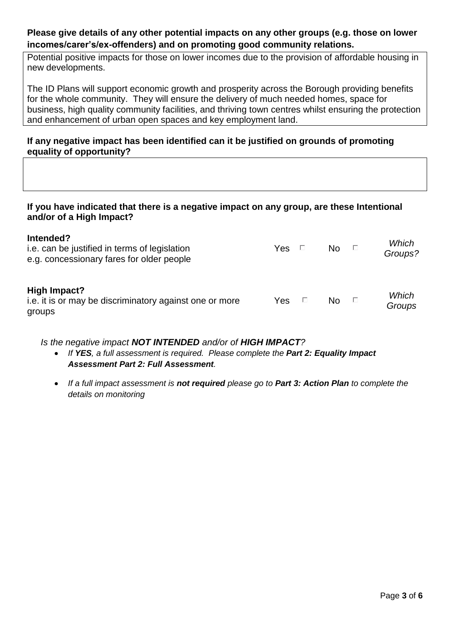### **Please give details of any other potential impacts on any other groups (e.g. those on lower incomes/carer's/ex-offenders) and on promoting good community relations.**

Potential positive impacts for those on lower incomes due to the provision of affordable housing in new developments.

The ID Plans will support economic growth and prosperity across the Borough providing benefits for the whole community. They will ensure the delivery of much needed homes, space for business, high quality community facilities, and thriving town centres whilst ensuring the protection and enhancement of urban open spaces and key employment land.

### **If any negative impact has been identified can it be justified on grounds of promoting equality of opportunity?**

#### **If you have indicated that there is a negative impact on any group, are these Intentional and/or of a High Impact?**

| Intended?<br>i.e. can be justified in terms of legislation<br>e.g. concessionary fares for older people | Yes | Ð              | No.       | Ð   | Which<br>Groups? |
|---------------------------------------------------------------------------------------------------------|-----|----------------|-----------|-----|------------------|
| High Impact?<br>i.e. it is or may be discriminatory against one or more<br>groups                       | Yes | $\mathbb{R}^n$ | <b>No</b> | - П | Which<br>Groups  |

#### *Is the negative impact NOT INTENDED and/or of HIGH IMPACT?*

- If **YES**, a full assessment is required. Please complete the **Part 2: Equality Impact** *Assessment Part 2: Full Assessment.*
- *If a full impact assessment is not required please go to Part 3: Action Plan to complete the details on monitoring*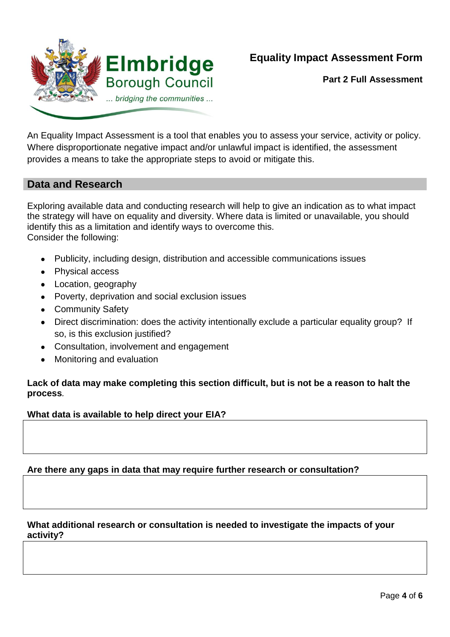

**Part 2 Full Assessment**

An Equality Impact Assessment is a tool that enables you to assess your service, activity or policy. Where disproportionate negative impact and/or unlawful impact is identified, the assessment provides a means to take the appropriate steps to avoid or mitigate this.

## **Data and Research**

Exploring available data and conducting research will help to give an indication as to what impact the strategy will have on equality and diversity. Where data is limited or unavailable, you should identify this as a limitation and identify ways to overcome this. Consider the following:

- Publicity, including design, distribution and accessible communications issues
- Physical access
- Location, geography
- Poverty, deprivation and social exclusion issues
- Community Safety
- Direct discrimination: does the activity intentionally exclude a particular equality group? If so, is this exclusion justified?
- Consultation, involvement and engagement
- Monitoring and evaluation

#### **Lack of data may make completing this section difficult, but is not be a reason to halt the process***.*

#### **What data is available to help direct your EIA?**

#### **Are there any gaps in data that may require further research or consultation?**

#### **What additional research or consultation is needed to investigate the impacts of your activity?**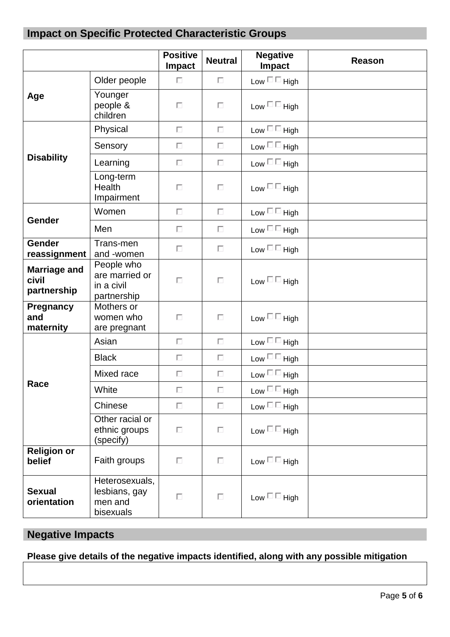# **Impact on Specific Protected Characteristic Groups**

|                                             |                                                           | <b>Positive</b><br>Impact | <b>Neutral</b> | <b>Negative</b><br><b>Impact</b> | <b>Reason</b> |
|---------------------------------------------|-----------------------------------------------------------|---------------------------|----------------|----------------------------------|---------------|
| Age                                         | Older people                                              | $\Box$                    | $\Box$         | Low $\square \sqsubseteq$ High   |               |
|                                             | Younger<br>people &<br>children                           | П                         | П              | Low $\square \sqsubseteq$ High   |               |
| <b>Disability</b>                           | Physical                                                  | П                         | $\Box$         | Low $\square \sqsubseteq$ High   |               |
|                                             | Sensory                                                   | П                         | П              | Low $\square \sqsubseteq$ High   |               |
|                                             | Learning                                                  | $\Box$                    | $\Box$         | Low $\square \sqsubseteq$ High   |               |
|                                             | Long-term<br>Health<br>Impairment                         | П                         | $\Box$         | Low $\square \sqsubseteq$ High   |               |
| Gender                                      | Women                                                     | П                         | $\Box$         | Low $\square \sqsubseteq$ High   |               |
|                                             | Men                                                       | П                         | П              | Low $\square \sqsubseteq$ High   |               |
| <b>Gender</b><br>reassignment               | Trans-men<br>and -women                                   | П                         | П              | Low $\square \sqsubseteq$ High   |               |
| <b>Marriage and</b><br>civil<br>partnership | People who<br>are married or<br>in a civil<br>partnership | П                         | $\Box$         | Low $\square \square$ High       |               |
| Pregnancy<br>and<br>maternity               | Mothers or<br>women who<br>are pregnant                   | П                         | П              | Low $\square \sqsubseteq$ High   |               |
| Race                                        | Asian                                                     | $\Box$                    | $\Box$         | Low $\square \sqsubseteq$ High   |               |
|                                             | <b>Black</b>                                              | П                         | П              | Low $\square \sqsubseteq$ High   |               |
|                                             | Mixed race                                                | $\Box$                    | П              | Low $\square \sqsubseteq$ High   |               |
|                                             | White                                                     | $\Box$                    | $\Box$         | Low $\square \sqsubseteq$ High   |               |
|                                             | Chinese                                                   | П                         | $\Box$         | Low $\square \sqsubseteq$ High   |               |
|                                             | Other racial or<br>ethnic groups<br>(specify)             | П                         | $\Box$         | Low $\square \square$ High       |               |
| <b>Religion or</b><br>belief                | Faith groups                                              | П                         | $\Box$         | Low $\square \sqsubseteq$ High   |               |
| <b>Sexual</b><br>orientation                | Heterosexuals,<br>lesbians, gay<br>men and<br>bisexuals   | П                         | $\Box$         | Low $\square \sqsubseteq$ High   |               |

# **Negative Impacts**

# **Please give details of the negative impacts identified, along with any possible mitigation**